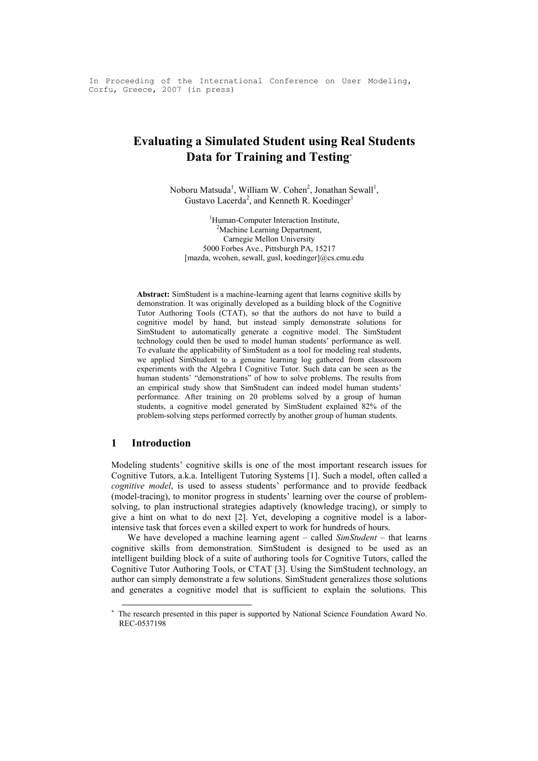In Proceeding of the International Conference on User Modeling, Corfu, Greece, 2007 (in press)

# Evaluating a Simulated Student using Real Students Data for Training and Testing\*

Noboru Matsuda<sup>1</sup>, William W. Cohen<sup>2</sup>, Jonathan Sewall<sup>1</sup>, Gustavo Lacerda<sup>2</sup>, and Kenneth R. Koedinger<sup>1</sup>

<sup>1</sup>Human-Computer Interaction Institute, <sup>2</sup>Machine Learning Department, Carnegie Mellon University 5000 Forbes Ave., Pittsburgh PA, 15217 [mazda, wcohen, sewall, gusl, koedinger]@cs.cmu.edu

Abstract: SimStudent is a machine-learning agent that learns cognitive skills by demonstration. It was originally developed as a building block of the Cognitive Tutor Authoring Tools (CTAT), so that the authors do not have to build a cognitive model by hand, but instead simply demonstrate solutions for SimStudent to automatically generate a cognitive model. The SimStudent technology could then be used to model human students' performance as well. To evaluate the applicability of SimStudent as a tool for modeling real students, we applied SimStudent to a genuine learning log gathered from classroom experiments with the Algebra I Cognitive Tutor. Such data can be seen as the human students' "demonstrations" of how to solve problems. The results from an empirical study show that SimStudent can indeed model human students' performance. After training on 20 problems solved by a group of human students, a cognitive model generated by SimStudent explained 82% of the problem-solving steps performed correctly by another group of human students.

# 1 Introduction

-

Modeling students' cognitive skills is one of the most important research issues for Cognitive Tutors, a.k.a. Intelligent Tutoring Systems [1]. Such a model, often called a cognitive model, is used to assess students' performance and to provide feedback (model-tracing), to monitor progress in students' learning over the course of problemsolving, to plan instructional strategies adaptively (knowledge tracing), or simply to give a hint on what to do next [2]. Yet, developing a cognitive model is a laborintensive task that forces even a skilled expert to work for hundreds of hours.

We have developed a machine learning agent – called SimStudent – that learns cognitive skills from demonstration. SimStudent is designed to be used as an intelligent building block of a suite of authoring tools for Cognitive Tutors, called the Cognitive Tutor Authoring Tools, or CTAT [3]. Using the SimStudent technology, an author can simply demonstrate a few solutions. SimStudent generalizes those solutions and generates a cognitive model that is sufficient to explain the solutions. This

<sup>\*</sup> The research presented in this paper is supported by National Science Foundation Award No. REC-0537198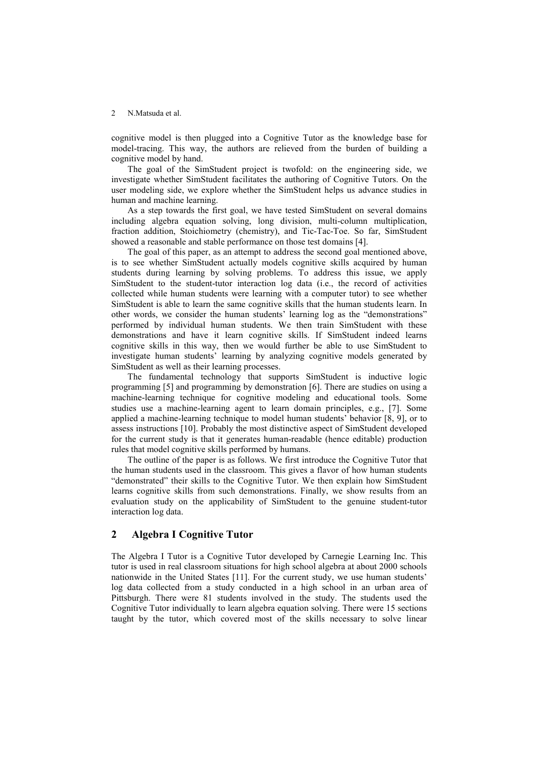cognitive model is then plugged into a Cognitive Tutor as the knowledge base for model-tracing. This way, the authors are relieved from the burden of building a cognitive model by hand.

The goal of the SimStudent project is twofold: on the engineering side, we investigate whether SimStudent facilitates the authoring of Cognitive Tutors. On the user modeling side, we explore whether the SimStudent helps us advance studies in human and machine learning.

As a step towards the first goal, we have tested SimStudent on several domains including algebra equation solving, long division, multi-column multiplication, fraction addition, Stoichiometry (chemistry), and Tic-Tac-Toe. So far, SimStudent showed a reasonable and stable performance on those test domains [4].

The goal of this paper, as an attempt to address the second goal mentioned above, is to see whether SimStudent actually models cognitive skills acquired by human students during learning by solving problems. To address this issue, we apply SimStudent to the student-tutor interaction log data (i.e., the record of activities collected while human students were learning with a computer tutor) to see whether SimStudent is able to learn the same cognitive skills that the human students learn. In other words, we consider the human students' learning log as the "demonstrations" performed by individual human students. We then train SimStudent with these demonstrations and have it learn cognitive skills. If SimStudent indeed learns cognitive skills in this way, then we would further be able to use SimStudent to investigate human students' learning by analyzing cognitive models generated by SimStudent as well as their learning processes.

The fundamental technology that supports SimStudent is inductive logic programming [5] and programming by demonstration [6]. There are studies on using a machine-learning technique for cognitive modeling and educational tools. Some studies use a machine-learning agent to learn domain principles, e.g., [7]. Some applied a machine-learning technique to model human students' behavior [8, 9], or to assess instructions [10]. Probably the most distinctive aspect of SimStudent developed for the current study is that it generates human-readable (hence editable) production rules that model cognitive skills performed by humans.

The outline of the paper is as follows. We first introduce the Cognitive Tutor that the human students used in the classroom. This gives a flavor of how human students "demonstrated" their skills to the Cognitive Tutor. We then explain how SimStudent learns cognitive skills from such demonstrations. Finally, we show results from an evaluation study on the applicability of SimStudent to the genuine student-tutor interaction log data.

## 2 Algebra I Cognitive Tutor

The Algebra I Tutor is a Cognitive Tutor developed by Carnegie Learning Inc. This tutor is used in real classroom situations for high school algebra at about 2000 schools nationwide in the United States [11]. For the current study, we use human students' log data collected from a study conducted in a high school in an urban area of Pittsburgh. There were 81 students involved in the study. The students used the Cognitive Tutor individually to learn algebra equation solving. There were 15 sections taught by the tutor, which covered most of the skills necessary to solve linear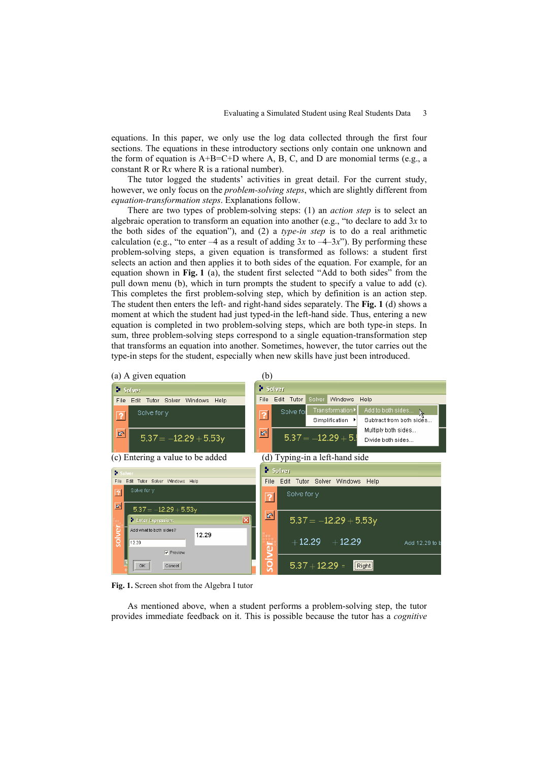equations. In this paper, we only use the log data collected through the first four sections. The equations in these introductory sections only contain one unknown and the form of equation is  $A+B=C+D$  where A, B, C, and D are monomial terms (e.g., a constant R or Rx where R is a rational number).

The tutor logged the students' activities in great detail. For the current study, however, we only focus on the *problem-solving steps*, which are slightly different from equation-transformation steps. Explanations follow.

There are two types of problem-solving steps: (1) an action step is to select an algebraic operation to transform an equation into another (e.g., "to declare to add  $3x$  to the both sides of the equation"), and  $(2)$  a type-in step is to do a real arithmetic calculation (e.g., "to enter  $-4$  as a result of adding 3x to  $-4-3x$ "). By performing these problem-solving steps, a given equation is transformed as follows: a student first selects an action and then applies it to both sides of the equation. For example, for an equation shown in Fig. 1 (a), the student first selected "Add to both sides" from the pull down menu (b), which in turn prompts the student to specify a value to add (c). This completes the first problem-solving step, which by definition is an action step. The student then enters the left- and right-hand sides separately. The Fig. 1 (d) shows a moment at which the student had just typed-in the left-hand side. Thus, entering a new equation is completed in two problem-solving steps, which are both type-in steps. In sum, three problem-solving steps correspond to a single equation-transformation step that transforms an equation into another. Sometimes, however, the tutor carries out the type-in steps for the student, especially when new skills have just been introduced.



Fig. 1. Screen shot from the Algebra I tutor

As mentioned above, when a student performs a problem-solving step, the tutor provides immediate feedback on it. This is possible because the tutor has a cognitive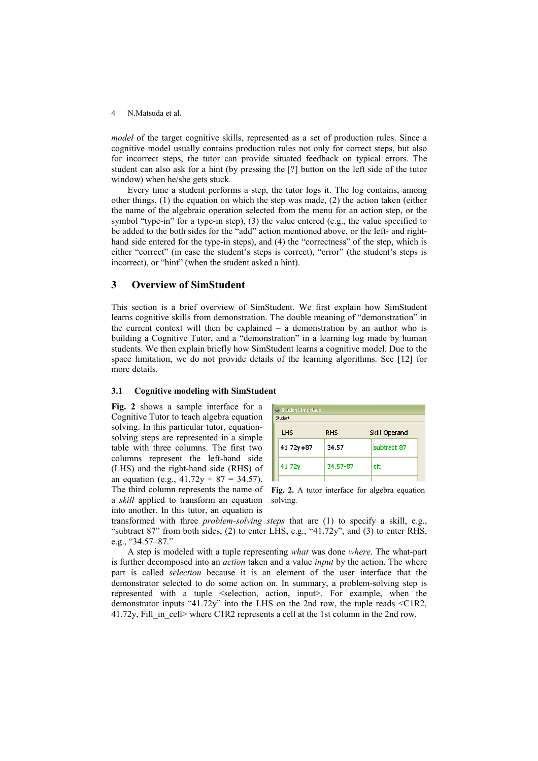model of the target cognitive skills, represented as a set of production rules. Since a cognitive model usually contains production rules not only for correct steps, but also for incorrect steps, the tutor can provide situated feedback on typical errors. The student can also ask for a hint (by pressing the [?] button on the left side of the tutor window) when he/she gets stuck.

Every time a student performs a step, the tutor logs it. The log contains, among other things, (1) the equation on which the step was made, (2) the action taken (either the name of the algebraic operation selected from the menu for an action step, or the symbol "type-in" for a type-in step), (3) the value entered (e.g., the value specified to be added to the both sides for the "add" action mentioned above, or the left- and righthand side entered for the type-in steps), and (4) the "correctness" of the step, which is either "correct" (in case the student's steps is correct), "error" (the student's steps is incorrect), or "hint" (when the student asked a hint).

# 3 Overview of SimStudent

This section is a brief overview of SimStudent. We first explain how SimStudent learns cognitive skills from demonstration. The double meaning of "demonstration" in the current context will then be explained – a demonstration by an author who is building a Cognitive Tutor, and a "demonstration" in a learning log made by human students. We then explain briefly how SimStudent learns a cognitive model. Due to the space limitation, we do not provide details of the learning algorithms. See [12] for more details.

## 3.1 Cognitive modeling with SimStudent

Fig. 2 shows a sample interface for a Cognitive Tutor to teach algebra equation solving. In this particular tutor, equationsolving steps are represented in a simple table with three columns. The first two columns represent the left-hand side (LHS) and the right-hand side (RHS) of an equation (e.g.,  $41.72y + 87 = 34.57$ ). The third column represents the name of Fig. 2. A tutor interface for algebra equation a skill applied to transform an equation into another. In this tutor, an equation is

| Student Interface<br>Student |               |            |               |  |  |  |  |  |  |
|------------------------------|---------------|------------|---------------|--|--|--|--|--|--|
|                              | <b>LHS</b>    | <b>RHS</b> | Skill Operand |  |  |  |  |  |  |
|                              | $41.72y + 87$ | 34.57      | subtract 87   |  |  |  |  |  |  |
|                              | 41.72y        | 34.57-87   | clt           |  |  |  |  |  |  |
|                              |               |            |               |  |  |  |  |  |  |

solving.

transformed with three problem-solving steps that are (1) to specify a skill, e.g., "subtract 87" from both sides,  $(2)$  to enter LHS, e.g., "41.72y", and  $(3)$  to enter RHS, e.g., "34.57–87."

A step is modeled with a tuple representing what was done where. The what-part is further decomposed into an *action* taken and a value *input* by the action. The where part is called selection because it is an element of the user interface that the demonstrator selected to do some action on. In summary, a problem-solving step is represented with a tuple <selection, action, input>. For example, when the demonstrator inputs "41.72y" into the LHS on the 2nd row, the tuple reads <C1R2, 41.72y, Fill in cell> where C1R2 represents a cell at the 1st column in the 2nd row.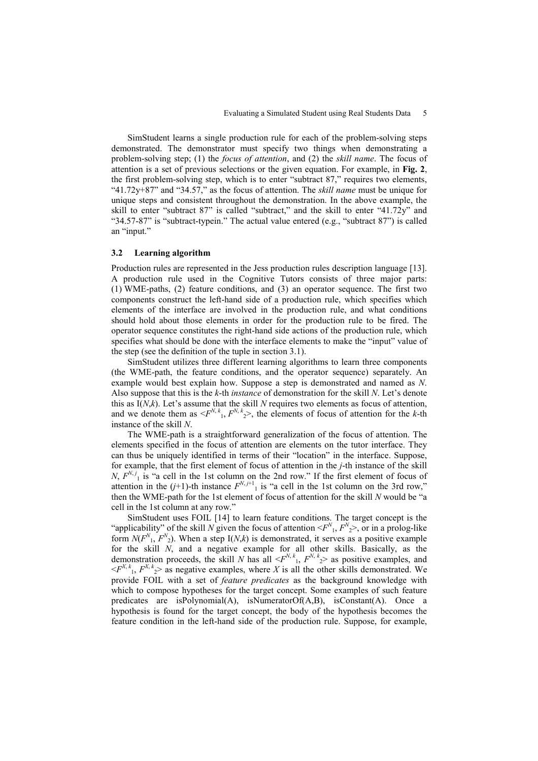SimStudent learns a single production rule for each of the problem-solving steps demonstrated. The demonstrator must specify two things when demonstrating a problem-solving step; (1) the *focus of attention*, and (2) the *skill name*. The focus of attention is a set of previous selections or the given equation. For example, in Fig. 2, the first problem-solving step, which is to enter "subtract 87," requires two elements, " $41.72y+87"$  and "34.57," as the focus of attention. The *skill name* must be unique for unique steps and consistent throughout the demonstration. In the above example, the skill to enter "subtract 87" is called "subtract," and the skill to enter "41.72y" and "34.57-87" is "subtract-typein." The actual value entered (e.g., "subtract 87") is called an "input."

#### 3.2 Learning algorithm

Production rules are represented in the Jess production rules description language [13]. A production rule used in the Cognitive Tutors consists of three major parts: (1) WME-paths, (2) feature conditions, and (3) an operator sequence. The first two components construct the left-hand side of a production rule, which specifies which elements of the interface are involved in the production rule, and what conditions should hold about those elements in order for the production rule to be fired. The operator sequence constitutes the right-hand side actions of the production rule, which specifies what should be done with the interface elements to make the "input" value of the step (see the definition of the tuple in section 3.1).

SimStudent utilizes three different learning algorithms to learn three components (the WME-path, the feature conditions, and the operator sequence) separately. An example would best explain how. Suppose a step is demonstrated and named as N. Also suppose that this is the k-th *instance* of demonstration for the skill N. Let's denote this as  $I(N,k)$ . Let's assume that the skill N requires two elements as focus of attention, and we denote them as  $\langle F^{N,k_1}, F^{N,k_2} \rangle$ , the elements of focus of attention for the k-th instance of the skill N.

The WME-path is a straightforward generalization of the focus of attention. The elements specified in the focus of attention are elements on the tutor interface. They can thus be uniquely identified in terms of their "location" in the interface. Suppose, for example, that the first element of focus of attention in the j-th instance of the skill N,  $F^{N,j}$  is "a cell in the 1st column on the 2nd row." If the first element of focus of attention in the  $(j+1)$ -th instance  $F^{N,j+1}$  is "a cell in the 1st column on the 3rd row," then the WME-path for the 1st element of focus of attention for the skill  $N$  would be "a cell in the 1st column at any row."

SimStudent uses FOIL [14] to learn feature conditions. The target concept is the "applicability" of the skill N given the focus of attention  $\langle F^N_{1}, F^N_{2} \rangle$ , or in a prolog-like form  $N(F_{1}^{N}, F_{2}^{N})$ . When a step  $I(N, k)$  is demonstrated, it serves as a positive example for the skill N, and a negative example for all other skills. Basically, as the demonstration proceeds, the skill N has all  $\langle F^{N,k} \rangle$ ,  $F^{N,k}$ <sub>2</sub>> as positive examples, and  $\langle F^{X,k_1}, F^{X,k_2} \rangle$  as negative examples, where X is all the other skills demonstrated. We provide FOIL with a set of feature predicates as the background knowledge with which to compose hypotheses for the target concept. Some examples of such feature predicates are isPolynomial $(A)$ , isNumeratorOf $(A,B)$ , isConstant $(A)$ . Once a hypothesis is found for the target concept, the body of the hypothesis becomes the feature condition in the left-hand side of the production rule. Suppose, for example,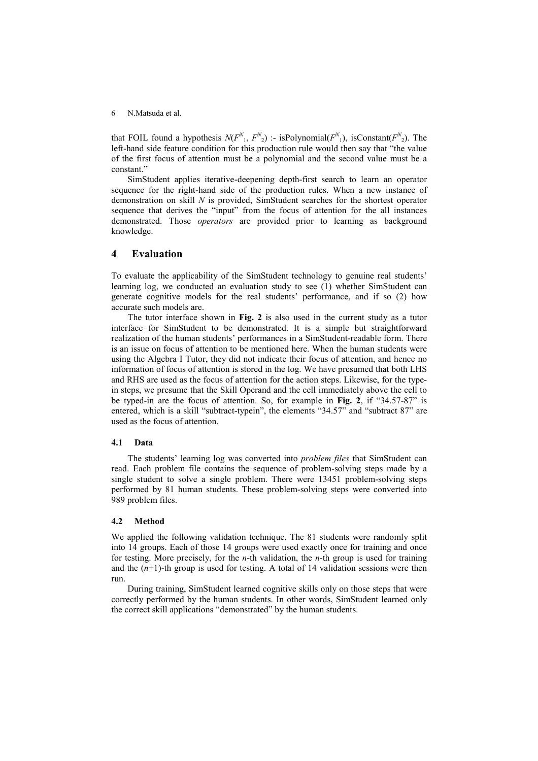that FOIL found a hypothesis  $N(F^N_1, F^N_2)$  :- isPolynomial( $F^N_1$ ), isConstant( $F^N_2$ ). The left-hand side feature condition for this production rule would then say that "the value of the first focus of attention must be a polynomial and the second value must be a constant."

SimStudent applies iterative-deepening depth-first search to learn an operator sequence for the right-hand side of the production rules. When a new instance of demonstration on skill  $N$  is provided. SimStudent searches for the shortest operator sequence that derives the "input" from the focus of attention for the all instances demonstrated. Those operators are provided prior to learning as background knowledge.

## 4 Evaluation

To evaluate the applicability of the SimStudent technology to genuine real students' learning log, we conducted an evaluation study to see (1) whether SimStudent can generate cognitive models for the real students' performance, and if so (2) how accurate such models are.

The tutor interface shown in Fig. 2 is also used in the current study as a tutor interface for SimStudent to be demonstrated. It is a simple but straightforward realization of the human students' performances in a SimStudent-readable form. There is an issue on focus of attention to be mentioned here. When the human students were using the Algebra I Tutor, they did not indicate their focus of attention, and hence no information of focus of attention is stored in the log. We have presumed that both LHS and RHS are used as the focus of attention for the action steps. Likewise, for the typein steps, we presume that the Skill Operand and the cell immediately above the cell to be typed-in are the focus of attention. So, for example in Fig. 2, if "34.57-87" is entered, which is a skill "subtract-typein", the elements "34.57" and "subtract 87" are used as the focus of attention.

#### 4.1 Data

The students' learning log was converted into problem files that SimStudent can read. Each problem file contains the sequence of problem-solving steps made by a single student to solve a single problem. There were 13451 problem-solving steps performed by 81 human students. These problem-solving steps were converted into 989 problem files.

### 4.2 Method

We applied the following validation technique. The 81 students were randomly split into 14 groups. Each of those 14 groups were used exactly once for training and once for testing. More precisely, for the *n*-th validation, the *n*-th group is used for training and the  $(n+1)$ -th group is used for testing. A total of 14 validation sessions were then run.

During training, SimStudent learned cognitive skills only on those steps that were correctly performed by the human students. In other words, SimStudent learned only the correct skill applications "demonstrated" by the human students.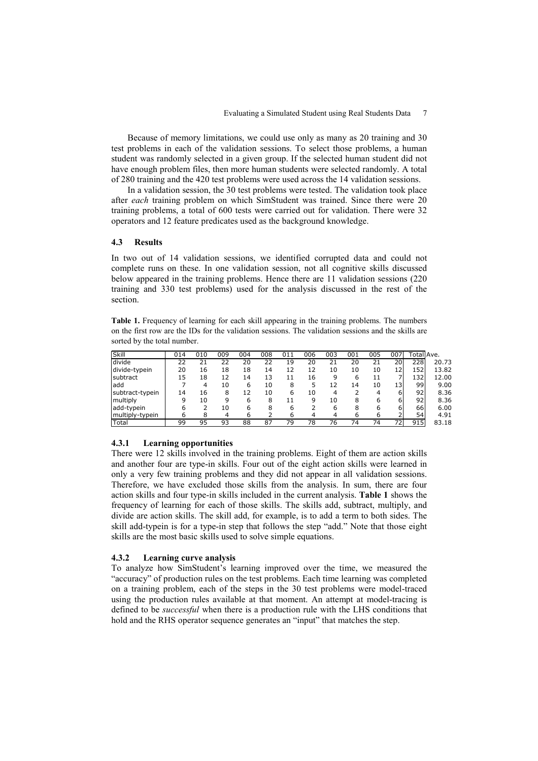Because of memory limitations, we could use only as many as 20 training and 30 test problems in each of the validation sessions. To select those problems, a human student was randomly selected in a given group. If the selected human student did not have enough problem files, then more human students were selected randomly. A total of 280 training and the 420 test problems were used across the 14 validation sessions.

In a validation session, the 30 test problems were tested. The validation took place after each training problem on which SimStudent was trained. Since there were 20 training problems, a total of 600 tests were carried out for validation. There were 32 operators and 12 feature predicates used as the background knowledge.

#### 4.3 Results

In two out of 14 validation sessions, we identified corrupted data and could not complete runs on these. In one validation session, not all cognitive skills discussed below appeared in the training problems. Hence there are 11 validation sessions (220 training and 330 test problems) used for the analysis discussed in the rest of the section.

Table 1. Frequency of learning for each skill appearing in the training problems. The numbers on the first row are the IDs for the validation sessions. The validation sessions and the skills are sorted by the total number.

| Skill           | 014 | 010 | 009 | 004 | 008 | 011 | 006 | 003 | 001 | 005 | 007 | Total Ave. |       |
|-----------------|-----|-----|-----|-----|-----|-----|-----|-----|-----|-----|-----|------------|-------|
| divide          | 22  | 21  | 22  | 20  | 22  | 19  | 20  | 21  | 20  | 21  | 20  | 228        | 20.73 |
| divide-typein   | 20  | 16  | 18  | 18  | 14  |     | 12  | 10  | 10  | 10  |     | 152        | 13.82 |
| subtract        | 15  | 18  |     | 14  | 13  |     | 16  |     |     | 11  |     | 1321       | 12.00 |
| ladd            |     | 4   | 10  | 6   | 10  |     |     |     | 14  | 10  | 13' | 99         | 9.00  |
| subtract-typein | 14  | 16  |     | 12  | 10  | ь   | 10  |     |     | 4   | 6   | 92         | 8.36  |
| multiply        |     | 10  |     | ь   |     |     |     | 10  | 8   | 6   | 6   | 92         | 8.36  |
| add-typein      |     |     | LO. |     |     |     |     |     |     | h   | 6   | 66 l       | 6.00  |
| multiply-typein |     |     |     | 6   |     |     | 4   |     | h   | 6   |     | 54         | 4.91  |
| Total           | 99  | 95  | 93  | 88  | 87  | 79  | 78  | 76  | 74  | 74  | 72  | 915        | 83.18 |

#### 4.3.1 Learning opportunities

There were 12 skills involved in the training problems. Eight of them are action skills and another four are type-in skills. Four out of the eight action skills were learned in only a very few training problems and they did not appear in all validation sessions. Therefore, we have excluded those skills from the analysis. In sum, there are four action skills and four type-in skills included in the current analysis. Table 1 shows the frequency of learning for each of those skills. The skills add, subtract, multiply, and divide are action skills. The skill add, for example, is to add a term to both sides. The skill add-typein is for a type-in step that follows the step "add." Note that those eight skills are the most basic skills used to solve simple equations.

## 4.3.2 Learning curve analysis

To analyze how SimStudent's learning improved over the time, we measured the "accuracy" of production rules on the test problems. Each time learning was completed on a training problem, each of the steps in the 30 test problems were model-traced using the production rules available at that moment. An attempt at model-tracing is defined to be *successful* when there is a production rule with the LHS conditions that hold and the RHS operator sequence generates an "input" that matches the step.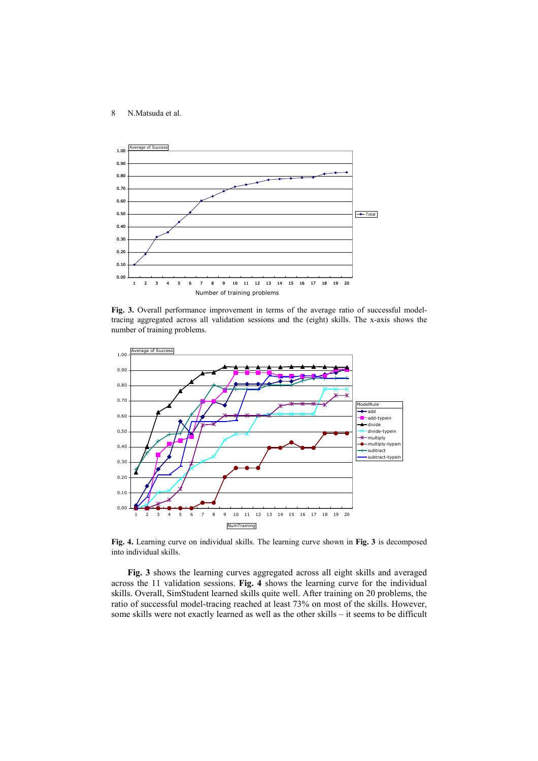

Fig. 3. Overall performance improvement in terms of the average ratio of successful modeltracing aggregated across all validation sessions and the (eight) skills. The x-axis shows the number of training problems.



Fig. 4. Learning curve on individual skills. The learning curve shown in Fig. 3 is decomposed into individual skills.

Fig. 3 shows the learning curves aggregated across all eight skills and averaged across the 11 validation sessions. Fig. 4 shows the learning curve for the individual skills. Overall, SimStudent learned skills quite well. After training on 20 problems, the ratio of successful model-tracing reached at least 73% on most of the skills. However, some skills were not exactly learned as well as the other skills – it seems to be difficult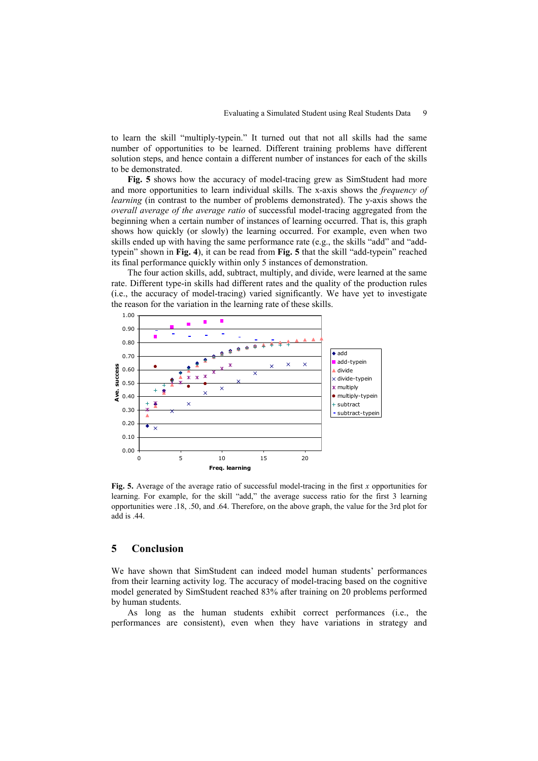to learn the skill "multiply-typein." It turned out that not all skills had the same number of opportunities to be learned. Different training problems have different solution steps, and hence contain a different number of instances for each of the skills to be demonstrated.

Fig. 5 shows how the accuracy of model-tracing grew as SimStudent had more and more opportunities to learn individual skills. The x-axis shows the frequency of learning (in contrast to the number of problems demonstrated). The y-axis shows the overall average of the average ratio of successful model-tracing aggregated from the beginning when a certain number of instances of learning occurred. That is, this graph shows how quickly (or slowly) the learning occurred. For example, even when two skills ended up with having the same performance rate (e.g., the skills "add" and "addtypein" shown in Fig. 4), it can be read from Fig. 5 that the skill "add-typein" reached its final performance quickly within only 5 instances of demonstration.

The four action skills, add, subtract, multiply, and divide, were learned at the same rate. Different type-in skills had different rates and the quality of the production rules (i.e., the accuracy of model-tracing) varied significantly. We have yet to investigate the reason for the variation in the learning rate of these skills.



Fig. 5. Average of the average ratio of successful model-tracing in the first x opportunities for learning. For example, for the skill "add," the average success ratio for the first 3 learning opportunities were .18, .50, and .64. Therefore, on the above graph, the value for the 3rd plot for add is .44.

# 5 Conclusion

We have shown that SimStudent can indeed model human students' performances from their learning activity log. The accuracy of model-tracing based on the cognitive model generated by SimStudent reached 83% after training on 20 problems performed by human students.

As long as the human students exhibit correct performances (i.e., the performances are consistent), even when they have variations in strategy and